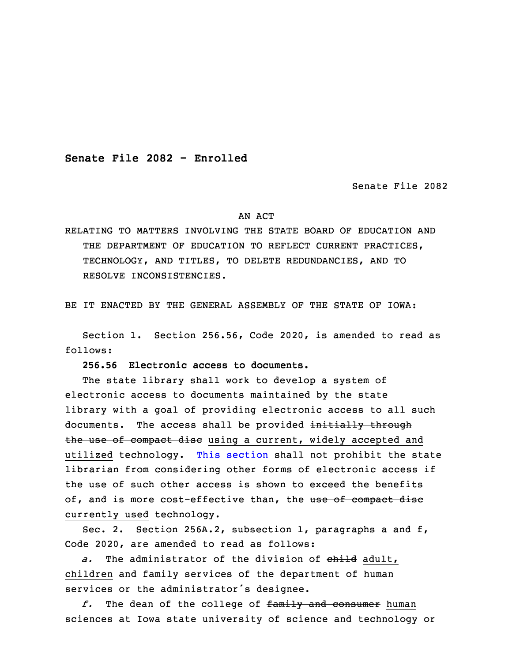**Senate File 2082 - Enrolled**

Senate File 2082

## AN ACT

RELATING TO MATTERS INVOLVING THE STATE BOARD OF EDUCATION AND THE DEPARTMENT OF EDUCATION TO REFLECT CURRENT PRACTICES, TECHNOLOGY, AND TITLES, TO DELETE REDUNDANCIES, AND TO RESOLVE INCONSISTENCIES.

BE IT ENACTED BY THE GENERAL ASSEMBLY OF THE STATE OF IOWA:

 Section 1. Section 256.56, Code 2020, is amended to read as follows:

3 **256.56 Electronic access to documents.**

 The state library shall work to develop <sup>a</sup> system of electronic access to documents maintained by the state library with a goal of providing electronic access to all such documents. The access shall be provided initially through the use of compact disc using a current, widely accepted and utilized technology. This [section](https://www.legis.iowa.gov/docs/code/2020/256.56.pdf) shall not prohibit the state librarian from considering other forms of electronic access if the use of such other access is shown to exceed the benefits of, and is more cost-effective than, the use of compact disc currently used technology.

 Sec. 2. Section 256A.2, subsection 1, paragraphs <sup>a</sup> and f, Code 2020, are amended to read as follows:

a. The administrator of the division of child adult, children and family services of the department of human services or the administrator's designee.

19 *f.* The dean of the college of family and consumer human sciences at Iowa state university of science and technology or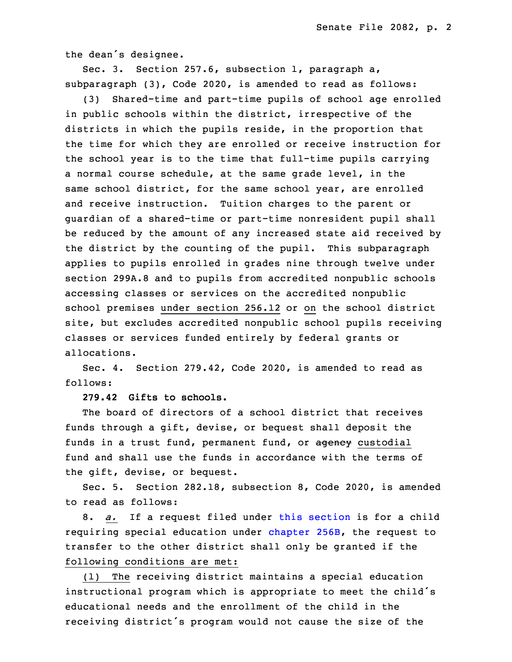the dean's designee.

 Sec. 3. Section 257.6, subsection 1, paragraph a,  $subparagn (3)$ , Code 2020, is amended to read as follows:

 (3) Shared-time and part-time pupils of school age enrolled in public schools within the district, irrespective of the districts in which the pupils reside, in the proportion that the time for which they are enrolled or receive instruction for the school year is to the time that full-time pupils carrying a normal course schedule, at the same grade level, in the same school district, for the same school year, are enrolled and receive instruction. Tuition charges to the parent or quardian of a shared-time or part-time nonresident pupil shall be reduced by the amount of any increased state aid received by the district by the counting of the pupil. This subparagraph applies to pupils enrolled in grades nine through twelve under section 299A.8 and to pupils from accredited nonpublic schools accessing classes or services on the accredited nonpublic school premises under section 256.12 or on the school district site, but excludes accredited nonpublic school pupils receiving classes or services funded entirely by federal grants or allocations.

Sec. 4. Section 279.42, Code 2020, is amended to read as follows:

9 **279.42 Gifts to schools.**

The board of directors of a school district that receives funds through <sup>a</sup> gift, devise, or bequest shall deposit the funds in a trust fund, permanent fund, or agency custodial fund and shall use the funds in accordance with the terms of the gift, devise, or bequest.

Sec. 5. Section 282.18, subsection 8, Code 2020, is amended to read as follows:

8. *a.* If a request filed under this [section](https://www.legis.iowa.gov/docs/code/2020/282.18.pdf) is for a child requiring special education under [chapter](https://www.legis.iowa.gov/docs/code/2020/256B.pdf) 256B, the request to transfer to the other district shall only be granted if the following conditions are met:

 (1) The receiving district maintains <sup>a</sup> special education instructional program which is appropriate to meet the child's educational needs and the enrollment of the child in the receiving district's program would not cause the size of the